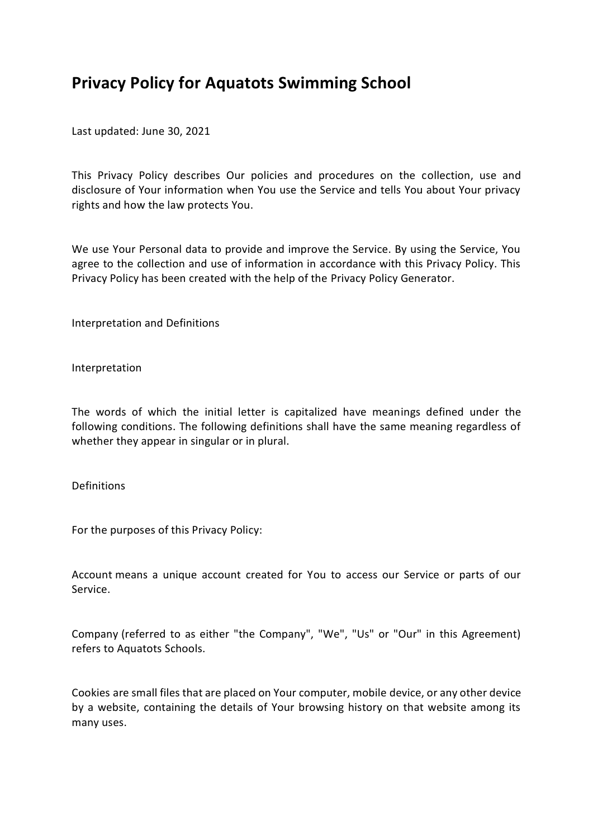## **Privacy Policy for Aquatots Swimming School**

Last updated: June 30, 2021

This Privacy Policy describes Our policies and procedures on the collection, use and disclosure of Your information when You use the Service and tells You about Your privacy rights and how the law protects You.

We use Your Personal data to provide and improve the Service. By using the Service, You agree to the collection and use of information in accordance with this Privacy Policy. This Privacy Policy has been created with the help of the Privacy Policy Generator.

Interpretation and Definitions

Interpretation

The words of which the initial letter is capitalized have meanings defined under the following conditions. The following definitions shall have the same meaning regardless of whether they appear in singular or in plural.

Definitions

For the purposes of this Privacy Policy:

Account means a unique account created for You to access our Service or parts of our Service.

Company (referred to as either "the Company", "We", "Us" or "Our" in this Agreement) refers to Aquatots Schools.

Cookies are small files that are placed on Your computer, mobile device, or any other device by a website, containing the details of Your browsing history on that website among its many uses.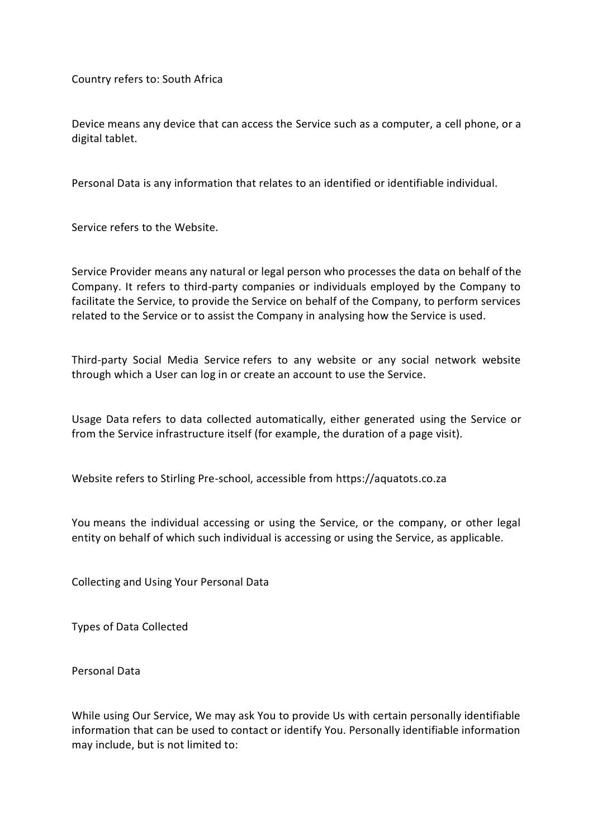Country refers to: South Africa

Device means any device that can access the Service such as a computer, a cell phone, or a digital tablet.

Personal Data is any information that relates to an identified or identifiable individual.

Service refers to the Website.

Service Provider means any natural or legal person who processes the data on behalf of the Company. It refers to third-party companies or individuals employed by the Company to facilitate the Service, to provide the Service on behalf of the Company, to perform services related to the Service or to assist the Company in analysing how the Service is used.

Third-party Social Media Service refers to any website or any social network website through which a User can log in or create an account to use the Service.

Usage Data refers to data collected automatically, either generated using the Service or from the Service infrastructure itself (for example, the duration of a page visit).

Website refers to Stirling Pre-school, accessible from https://aquatots.co.za

You means the individual accessing or using the Service, or the company, or other legal entity on behalf of which such individual is accessing or using the Service, as applicable.

Collecting and Using Your Personal Data

Types of Data Collected

Personal Data

While using Our Service, We may ask You to provide Us with certain personally identifiable information that can be used to contact or identify You. Personally identifiable information may include, but is not limited to: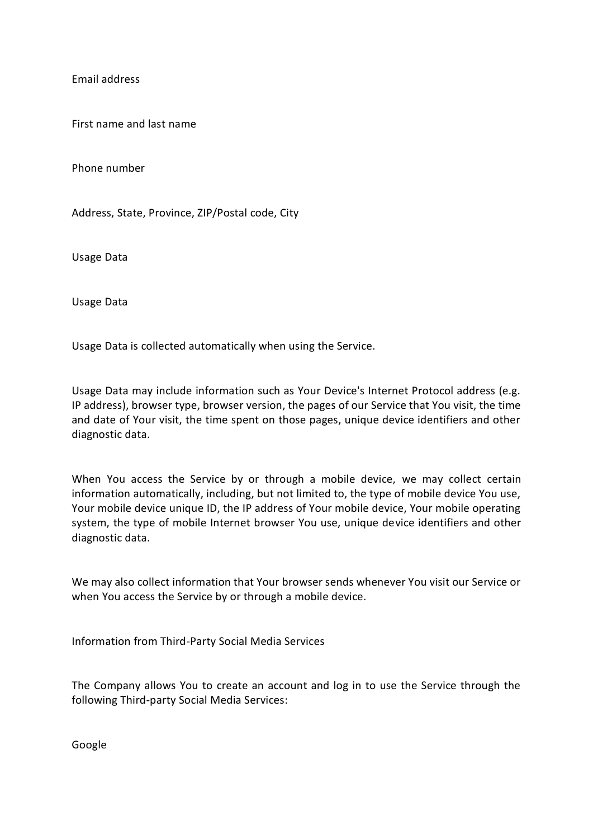Email address

First name and last name

Phone number

Address, State, Province, ZIP/Postal code, City

Usage Data

Usage Data

Usage Data is collected automatically when using the Service.

Usage Data may include information such as Your Device's Internet Protocol address (e.g. IP address), browser type, browser version, the pages of our Service that You visit, the time and date of Your visit, the time spent on those pages, unique device identifiers and other diagnostic data.

When You access the Service by or through a mobile device, we may collect certain information automatically, including, but not limited to, the type of mobile device You use, Your mobile device unique ID, the IP address of Your mobile device, Your mobile operating system, the type of mobile Internet browser You use, unique device identifiers and other diagnostic data.

We may also collect information that Your browser sends whenever You visit our Service or when You access the Service by or through a mobile device.

Information from Third-Party Social Media Services

The Company allows You to create an account and log in to use the Service through the following Third-party Social Media Services:

Google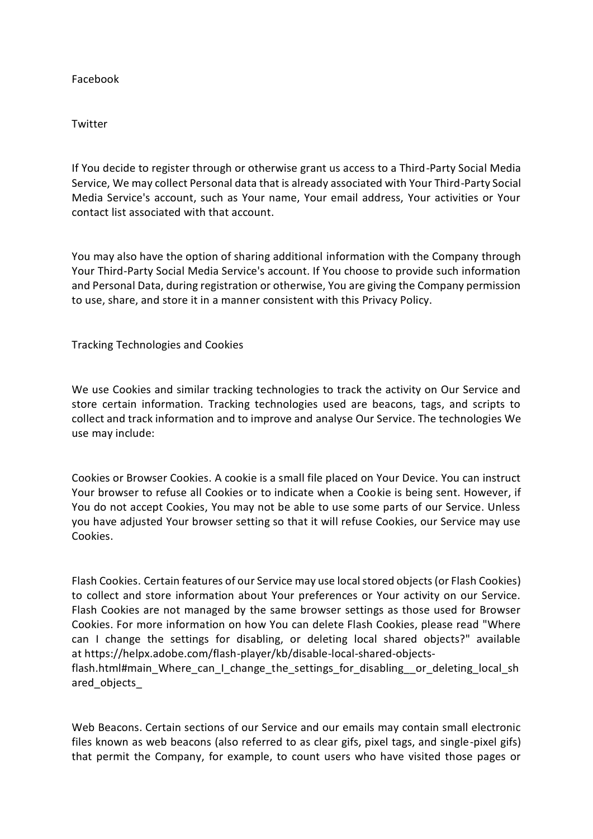Facebook

**Twitter** 

If You decide to register through or otherwise grant us access to a Third-Party Social Media Service, We may collect Personal data that is already associated with Your Third-Party Social Media Service's account, such as Your name, Your email address, Your activities or Your contact list associated with that account.

You may also have the option of sharing additional information with the Company through Your Third-Party Social Media Service's account. If You choose to provide such information and Personal Data, during registration or otherwise, You are giving the Company permission to use, share, and store it in a manner consistent with this Privacy Policy.

Tracking Technologies and Cookies

We use Cookies and similar tracking technologies to track the activity on Our Service and store certain information. Tracking technologies used are beacons, tags, and scripts to collect and track information and to improve and analyse Our Service. The technologies We use may include:

Cookies or Browser Cookies. A cookie is a small file placed on Your Device. You can instruct Your browser to refuse all Cookies or to indicate when a Cookie is being sent. However, if You do not accept Cookies, You may not be able to use some parts of our Service. Unless you have adjusted Your browser setting so that it will refuse Cookies, our Service may use Cookies.

Flash Cookies. Certain features of our Service may use local stored objects (or Flash Cookies) to collect and store information about Your preferences or Your activity on our Service. Flash Cookies are not managed by the same browser settings as those used for Browser Cookies. For more information on how You can delete Flash Cookies, please read "Where can I change the settings for disabling, or deleting local shared objects?" available at https://helpx.adobe.com/flash-player/kb/disable-local-shared-objectsflash.html#main\_Where\_can\_I\_change\_the\_settings\_for\_disabling\_\_or\_deleting\_local\_sh ared\_objects\_

Web Beacons. Certain sections of our Service and our emails may contain small electronic files known as web beacons (also referred to as clear gifs, pixel tags, and single-pixel gifs) that permit the Company, for example, to count users who have visited those pages or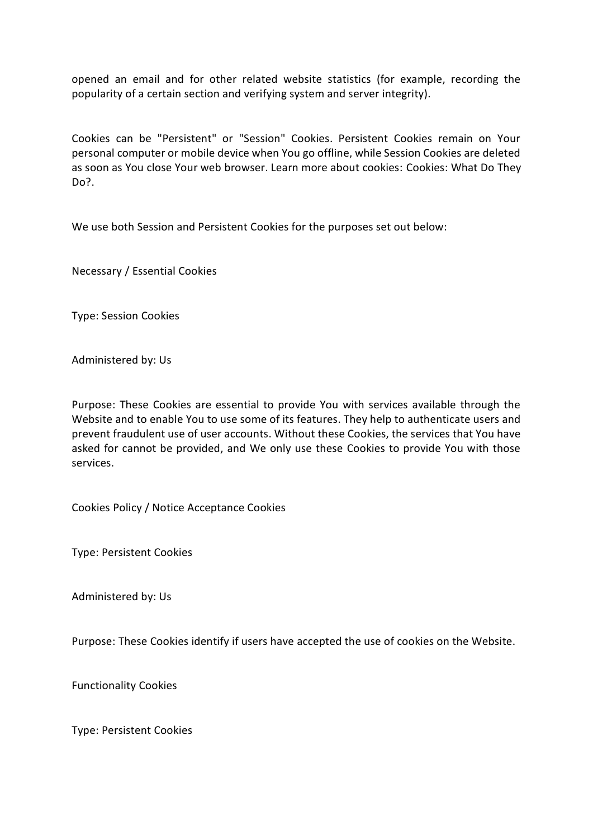opened an email and for other related website statistics (for example, recording the popularity of a certain section and verifying system and server integrity).

Cookies can be "Persistent" or "Session" Cookies. Persistent Cookies remain on Your personal computer or mobile device when You go offline, while Session Cookies are deleted as soon as You close Your web browser. Learn more about cookies: Cookies: What Do They Do?.

We use both Session and Persistent Cookies for the purposes set out below:

Necessary / Essential Cookies

Type: Session Cookies

Administered by: Us

Purpose: These Cookies are essential to provide You with services available through the Website and to enable You to use some of its features. They help to authenticate users and prevent fraudulent use of user accounts. Without these Cookies, the services that You have asked for cannot be provided, and We only use these Cookies to provide You with those services.

Cookies Policy / Notice Acceptance Cookies

Type: Persistent Cookies

Administered by: Us

Purpose: These Cookies identify if users have accepted the use of cookies on the Website.

Functionality Cookies

Type: Persistent Cookies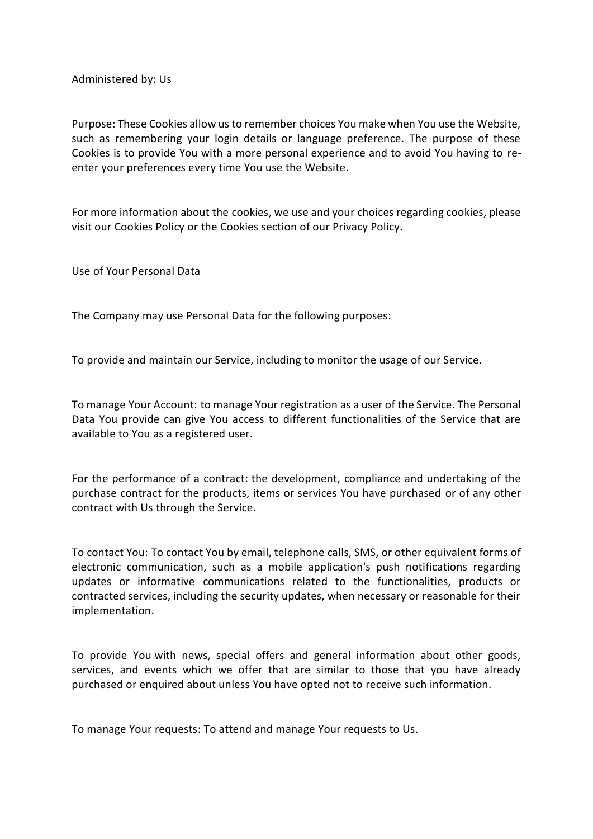Administered by: Us

Purpose: These Cookies allow us to remember choices You make when You use the Website, such as remembering your login details or language preference. The purpose of these Cookies is to provide You with a more personal experience and to avoid You having to reenter your preferences every time You use the Website.

For more information about the cookies, we use and your choices regarding cookies, please visit our Cookies Policy or the Cookies section of our Privacy Policy.

Use of Your Personal Data

The Company may use Personal Data for the following purposes:

To provide and maintain our Service, including to monitor the usage of our Service.

To manage Your Account: to manage Your registration as a user of the Service. The Personal Data You provide can give You access to different functionalities of the Service that are available to You as a registered user.

For the performance of a contract: the development, compliance and undertaking of the purchase contract for the products, items or services You have purchased or of any other contract with Us through the Service.

To contact You: To contact You by email, telephone calls, SMS, or other equivalent forms of electronic communication, such as a mobile application's push notifications regarding updates or informative communications related to the functionalities, products or contracted services, including the security updates, when necessary or reasonable for their implementation.

To provide You with news, special offers and general information about other goods, services, and events which we offer that are similar to those that you have already purchased or enquired about unless You have opted not to receive such information.

To manage Your requests: To attend and manage Your requests to Us.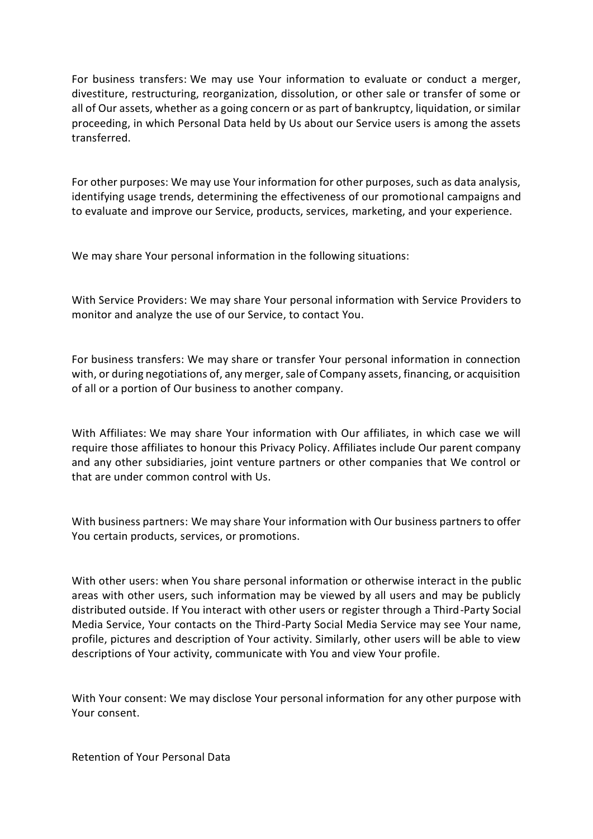For business transfers: We may use Your information to evaluate or conduct a merger, divestiture, restructuring, reorganization, dissolution, or other sale or transfer of some or all of Our assets, whether as a going concern or as part of bankruptcy, liquidation, or similar proceeding, in which Personal Data held by Us about our Service users is among the assets transferred.

For other purposes: We may use Your information for other purposes, such as data analysis, identifying usage trends, determining the effectiveness of our promotional campaigns and to evaluate and improve our Service, products, services, marketing, and your experience.

We may share Your personal information in the following situations:

With Service Providers: We may share Your personal information with Service Providers to monitor and analyze the use of our Service, to contact You.

For business transfers: We may share or transfer Your personal information in connection with, or during negotiations of, any merger, sale of Company assets, financing, or acquisition of all or a portion of Our business to another company.

With Affiliates: We may share Your information with Our affiliates, in which case we will require those affiliates to honour this Privacy Policy. Affiliates include Our parent company and any other subsidiaries, joint venture partners or other companies that We control or that are under common control with Us.

With business partners: We may share Your information with Our business partners to offer You certain products, services, or promotions.

With other users: when You share personal information or otherwise interact in the public areas with other users, such information may be viewed by all users and may be publicly distributed outside. If You interact with other users or register through a Third-Party Social Media Service, Your contacts on the Third-Party Social Media Service may see Your name, profile, pictures and description of Your activity. Similarly, other users will be able to view descriptions of Your activity, communicate with You and view Your profile.

With Your consent: We may disclose Your personal information for any other purpose with Your consent.

Retention of Your Personal Data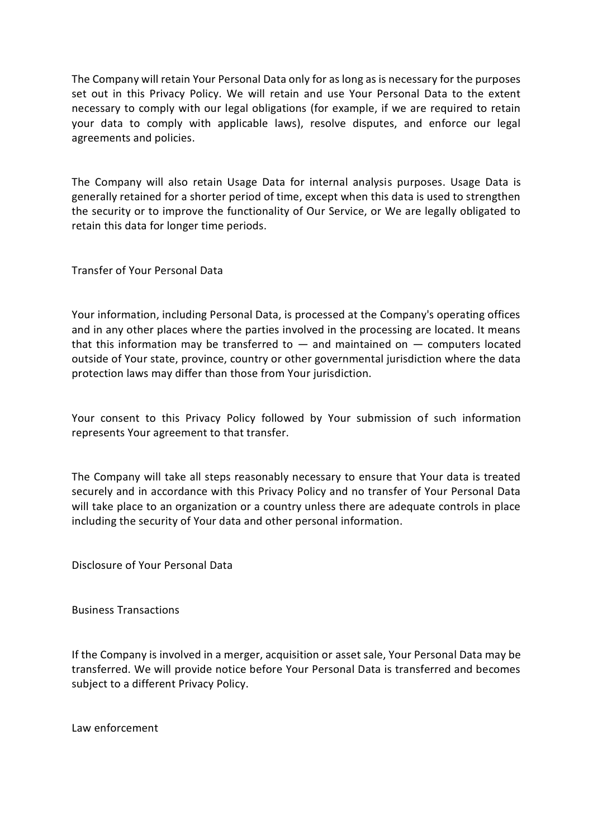The Company will retain Your Personal Data only for as long as is necessary for the purposes set out in this Privacy Policy. We will retain and use Your Personal Data to the extent necessary to comply with our legal obligations (for example, if we are required to retain your data to comply with applicable laws), resolve disputes, and enforce our legal agreements and policies.

The Company will also retain Usage Data for internal analysis purposes. Usage Data is generally retained for a shorter period of time, except when this data is used to strengthen the security or to improve the functionality of Our Service, or We are legally obligated to retain this data for longer time periods.

Transfer of Your Personal Data

Your information, including Personal Data, is processed at the Company's operating offices and in any other places where the parties involved in the processing are located. It means that this information may be transferred to  $-$  and maintained on  $-$  computers located outside of Your state, province, country or other governmental jurisdiction where the data protection laws may differ than those from Your jurisdiction.

Your consent to this Privacy Policy followed by Your submission of such information represents Your agreement to that transfer.

The Company will take all steps reasonably necessary to ensure that Your data is treated securely and in accordance with this Privacy Policy and no transfer of Your Personal Data will take place to an organization or a country unless there are adequate controls in place including the security of Your data and other personal information.

Disclosure of Your Personal Data

Business Transactions

If the Company is involved in a merger, acquisition or asset sale, Your Personal Data may be transferred. We will provide notice before Your Personal Data is transferred and becomes subject to a different Privacy Policy.

Law enforcement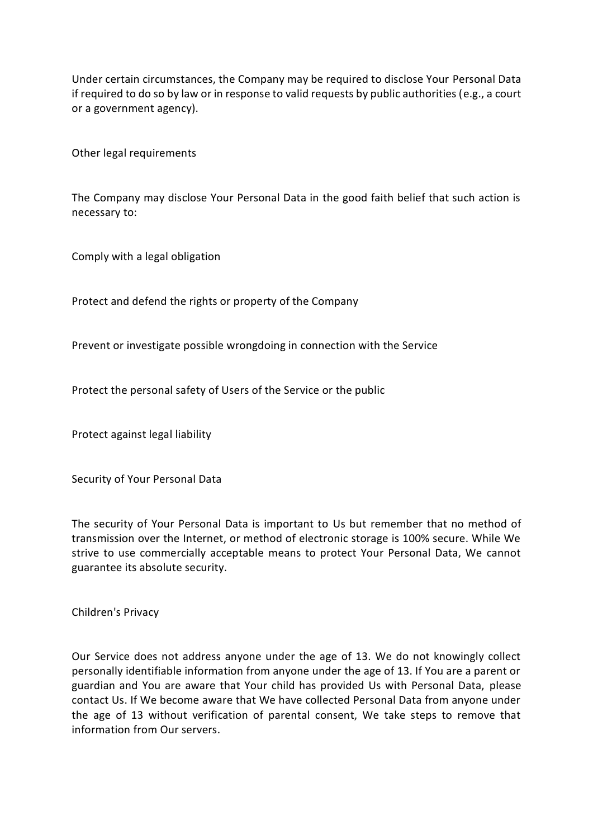Under certain circumstances, the Company may be required to disclose Your Personal Data if required to do so by law or in response to valid requests by public authorities (e.g., a court or a government agency).

Other legal requirements

The Company may disclose Your Personal Data in the good faith belief that such action is necessary to:

Comply with a legal obligation

Protect and defend the rights or property of the Company

Prevent or investigate possible wrongdoing in connection with the Service

Protect the personal safety of Users of the Service or the public

Protect against legal liability

Security of Your Personal Data

The security of Your Personal Data is important to Us but remember that no method of transmission over the Internet, or method of electronic storage is 100% secure. While We strive to use commercially acceptable means to protect Your Personal Data, We cannot guarantee its absolute security.

Children's Privacy

Our Service does not address anyone under the age of 13. We do not knowingly collect personally identifiable information from anyone under the age of 13. If You are a parent or guardian and You are aware that Your child has provided Us with Personal Data, please contact Us. If We become aware that We have collected Personal Data from anyone under the age of 13 without verification of parental consent, We take steps to remove that information from Our servers.